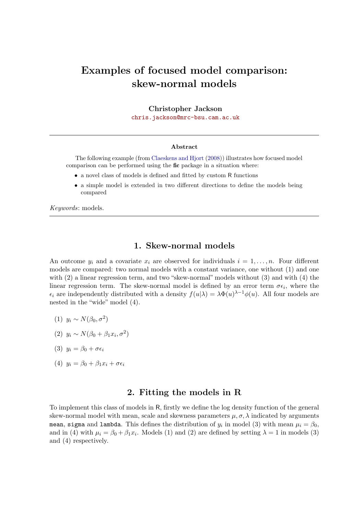# Examples of focused model comparison: skew-normal models

Christopher Jackson

[chris.jackson@mrc-bsu.cam.ac.uk](mailto:chris.jackson@mrc-bsu.cam.ac.uk)

#### Abstract

The following example (from [Claeskens and Hjort](#page-6-0) [\(2008\)](#page-6-0)) illustrates how focused model comparison can be performed using the fic package in a situation where:

- $\bullet\,$  a novel class of models is defined and fitted by custom  ${\sf R}$  functions
- a simple model is extended in two different directions to define the models being compared

Keywords: models.

### 1. Skew-normal models

An outcome  $y_i$  and a covariate  $x_i$  are observed for individuals  $i = 1, \ldots, n$ . Four different models are compared: two normal models with a constant variance, one without (1) and one with (2) a linear regression term, and two "skew-normal" models without (3) and with (4) the linear regression term. The skew-normal model is defined by an error term  $\sigma \epsilon_i$ , where the  $\epsilon_i$  are independently distributed with a density  $f(u|\lambda) = \lambda \Phi(u)^{\lambda-1} \phi(u)$ . All four models are nested in the "wide" model (4).

- (1)  $y_i \sim N(\beta_0, \sigma^2)$
- (2)  $y_i \sim N(\beta_0 + \beta_1 x_i, \sigma^2)$
- (3)  $y_i = \beta_0 + \sigma \epsilon_i$
- (4)  $y_i = \beta_0 + \beta_1 x_i + \sigma \epsilon_i$

#### 2. Fitting the models in R

To implement this class of models in R, firstly we define the log density function of the general skew-normal model with mean, scale and skewness parameters  $\mu$ ,  $\sigma$ ,  $\lambda$  indicated by arguments mean, sigma and lambda. This defines the distribution of  $y_i$  in model (3) with mean  $\mu_i = \beta_0,$ and in (4) with  $\mu_i = \beta_0 + \beta_1 x_i$ . Models (1) and (2) are defined by setting  $\lambda = 1$  in models (3) and (4) respectively.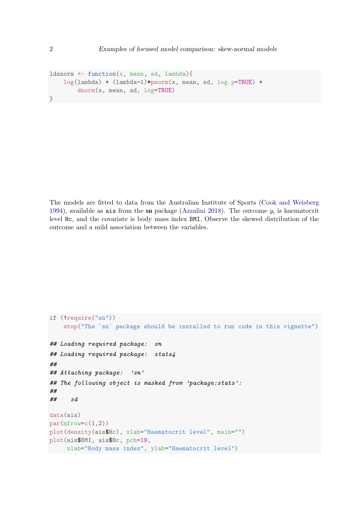```
ldsnorm \leftarrow function(x, mean, sd, lambda){
    log(lambda) + (lambda-1)*pnorm(x, mean, sd, log.p=TRUE) +
        dnorm(x, mean, sd, log=TRUE)
}
```
The models are fitted to data from the Australian Institute of Sports [\(Cook and Weisberg](#page-6-1) [1994\)](#page-6-1), available as ais from the sn package [\(Azzalini](#page-6-2) [2018\)](#page-6-2). The outcome  $y_i$  is haematocrit level Hc, and the covariate is body mass index BMI. Observe the skewed distribution of the outcome and a mild association between the variables.

```
if (!require("sn"))
    stop("The `sn` package should be installed to run code in this vignette")
## Loading required package: sn
## Loading required package: stats4
##
## Attaching package: 'sn'
## The following object is masked from 'package:stats':
##
## sd
data(ais)
par(mfrow=c(1,2))plot(density(ais$Hc), xlab="Haematocrit level", main="")
plot(ais$BMI, ais$Hc, pch=19,
     xlab="Body mass index", ylab="Haematocrit level")
```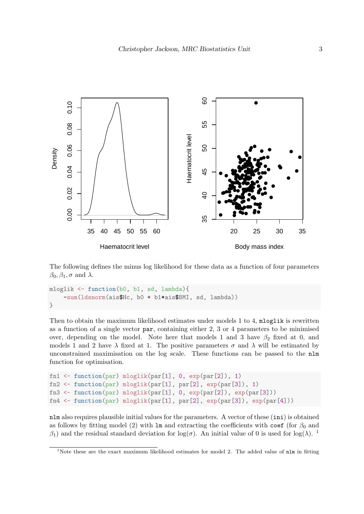

The following defines the minus log likelihood for these data as a function of four parameters  $\beta_0, \beta_1, \sigma \text{ and } \lambda.$ 

```
mloglik <- function(b0, b1, sd, lambda){
    -sum(ldsnorm(ais$Hc, b0 + b1*ais$BMI, sd, lambda))
}
```
Then to obtain the maximum likelihood estimates under models 1 to 4, mloglik is rewritten as a function of a single vector par, containing either 2, 3 or 4 parameters to be minimised over, depending on the model. Note here that models 1 and 3 have  $\beta_2$  fixed at 0, and models 1 and 2 have  $\lambda$  fixed at 1. The positive parameters  $\sigma$  and  $\lambda$  will be estimated by unconstrained maximisation on the log scale. These functions can be passed to the nlm function for optimisation.

```
fn1 <- function(par) mloglik(par[1], 0, exp(par[2]), 1)
fn2 <- function(par) mloglik(par[1], par[2], exp(par[3]), 1)
fn3 <- function(par) mloglik(par[1], 0, exp(par[2]), exp(par[3]))
fn4 <- function(par) mloglik(par[1], par[2], exp(par[3]), exp(par[4]))
```
nlm also requires plausible initial values for the parameters. A vector of these (ini) is obtained as follows by fitting model (2) with lm and extracting the coefficients with coef (for  $\beta_0$  and  $β_1$  $β_1$ ) and the residual standard deviation for log( $σ$ ). An initial value of 0 is used for log( $λ$ ). <sup>1</sup>

<span id="page-2-0"></span><sup>&</sup>lt;sup>1</sup>Note these are the exact maximum likelihood estimates for model 2. The added value of  $n \ln n$  in fitting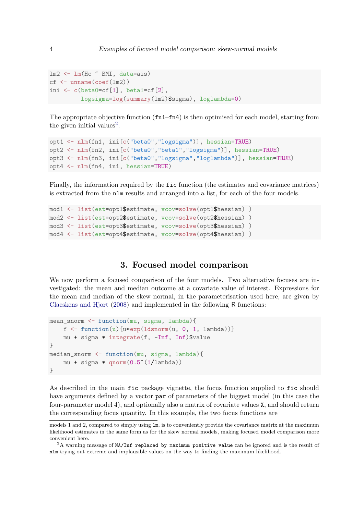```
lm2 \leftarrow lm(HC \sim BMI, data = ais)cf \leftarrow unname(coef(lm2))
ini \leq c(beta0=cf[1], beta1=cf[2],
          logsigma=log(summary(lm2)$sigma), loglambda=0)
```
The appropriate objective function (fn1–fn4) is then optimised for each model, starting from the given initial values<sup>[2](#page-3-0)</sup>.

```
opt1 <- nlm(fn1, ini[c("beta0","logsigma")], hessian=TRUE)
opt2 <- nlm(fn2, ini[c("beta0","beta1","logsigma")], hessian=TRUE)
opt3 <- nlm(fn3, ini[c("beta0","logsigma","loglambda")], hessian=TRUE)
opt4 <- nlm(fn4, ini, hessian=TRUE)
```
Finally, the information required by the fic function (the estimates and covariance matrices) is extracted from the nlm results and arranged into a list, for each of the four models.

```
mod1 <- list(est=opt1$estimate, vcov=solve(opt1$hessian) )
mod2 <- list(est=opt2$estimate, vcov=solve(opt2$hessian) )
mod3 <- list(est=opt3$estimate, vcov=solve(opt3$hessian) )
mod4 <- list(est=opt4$estimate, vcov=solve(opt4$hessian) )
```
#### 3. Focused model comparison

We now perform a focused comparison of the four models. Two alternative focuses are investigated: the mean and median outcome at a covariate value of interest. Expressions for the mean and median of the skew normal, in the parameterisation used here, are given by [Claeskens and Hjort](#page-6-0) [\(2008\)](#page-6-0) and implemented in the following R functions:

```
mean_snorm <- function(mu, sigma, lambda){
    f \leftarrow function(u){u*exp(ldsnorm(u, 0, 1, lambda))}
    mu + sigma * integrate(f, -Inf, Inf)$value
}
median_snorm <- function(mu, sigma, lambda){
    mu + sigma * qnorm(0.5^*(1/lambda))
}
```
As described in the main fic package vignette, the focus function supplied to fic should have arguments defined by a vector par of parameters of the biggest model (in this case the four-parameter model 4), and optionally also a matrix of covariate values X, and should return the corresponding focus quantity. In this example, the two focus functions are

models 1 and 2, compared to simply using lm, is to conveniently provide the covariance matrix at the maximum likelihood estimates in the same form as for the skew normal models, making focused model comparison more convenient here.

<span id="page-3-0"></span> ${}^{2}$ A warning message of NA/Inf replaced by maximum positive value can be ignored and is the result of nlm trying out extreme and implausible values on the way to finding the maximum likelihood.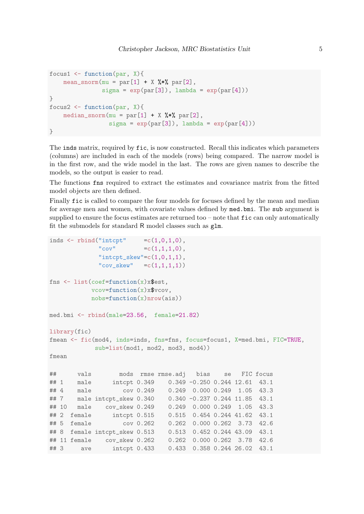```
focus1 \leftarrow function(par, X){
    mean\_snorm(mu = par[1] + X %*% par[2],
                signa = exp(par[3]), lambda = exp(par[4]))}
focus2 \leftarrow function(par, X){
    median_snorm(mu = par[1] + X %*% par[2],
                  signa = exp(par[3]), lambda = exp(par[4]))}
```
The inds matrix, required by fic, is now constructed. Recall this indicates which parameters (columns) are included in each of the models (rows) being compared. The narrow model is in the first row, and the wide model in the last. The rows are given names to describe the models, so the output is easier to read.

The functions fns required to extract the estimates and covariance matrix from the fitted model objects are then defined.

Finally fic is called to compare the four models for focuses defined by the mean and median for average men and women, with covariate values defined by med.bmi. The sub argument is supplied to ensure the focus estimates are returned too  $-$  note that  $\texttt{fic}$  can only automatically fit the submodels for standard R model classes such as glm.

```
inds \le rbind("intcpt" =c(1,0,1,0),
            "cov" =c(1,1,1,0),
            "intcpt\_skew" = c(1,0,1,1),"cov_skew" =c(1,1,1,1))
fns <- list(coef=function(x)x$est,
          vcov = function(x)xvcov,nobs = function(x)nrow(ais))
med.bmi <- rbind(male=23.56, female=21.82)
library(fic)
fmean <- fic(mod4, inds=inds, fns=fns, focus=focus1, X=med.bmi, FIC=TRUE,
           sub=list(mod1, mod2, mod3, mod4))
fmean
## vals mods rmse rmse.adj bias se FIC focus
## 1 male intcpt 0.349 0.349 -0.250 0.244 12.61 43.1
## 4 male cov 0.249 0.249 0.000 0.249 1.05 43.3
## 7 male intcpt_skew 0.340 0.340 -0.237 0.244 11.85 43.1
## 10 male cov_skew 0.249 0.249 0.000 0.249 1.05 43.3
## 2 female intcpt 0.515 0.515 0.454 0.244 41.62 43.1
## 5 female cov 0.262 0.262 0.000 0.262 3.73 42.6
## 8 female intcpt_skew 0.513 0.513 0.452 0.244 43.09 43.1
## 11 female cov_skew 0.262 0.262 0.000 0.262 3.78 42.6
## 3 ave intcpt 0.433 0.433 0.358 0.244 26.02 43.1
```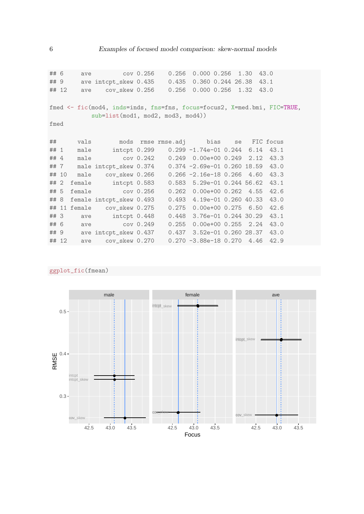| ## 6                                                                     |       | ave  | cov(0.256                                               |  | 0.256                | $0.000$ $0.256$ $1.30$            |  |  | 43.0 |  |
|--------------------------------------------------------------------------|-------|------|---------------------------------------------------------|--|----------------------|-----------------------------------|--|--|------|--|
| ## 9                                                                     |       |      | ave intcpt_skew 0.435 0.435 0.360 0.244 26.38           |  |                      |                                   |  |  | 43.1 |  |
|                                                                          | ## 12 | ave  |                                                         |  | cov_skew 0.256 0.256 | $0.000$ $0.256$ $1.32$            |  |  | 43.0 |  |
|                                                                          |       |      |                                                         |  |                      |                                   |  |  |      |  |
| fmed <- fic(mod4, inds=inds, fns=fns, focus=focus2, X=med.bmi, FIC=TRUE, |       |      |                                                         |  |                      |                                   |  |  |      |  |
| $sub=list (mod1, mod2, mod3, mod4))$                                     |       |      |                                                         |  |                      |                                   |  |  |      |  |
| fmed                                                                     |       |      |                                                         |  |                      |                                   |  |  |      |  |
|                                                                          |       |      |                                                         |  |                      |                                   |  |  |      |  |
| ##                                                                       |       |      | vals mods rmse rmse.adj bias se FIC focus               |  |                      |                                   |  |  |      |  |
|                                                                          |       |      |                                                         |  |                      |                                   |  |  |      |  |
| ## 1                                                                     |       |      | male intcpt 0.299 0.299 -1.74e-01 0.244 6.14 43.1       |  |                      |                                   |  |  |      |  |
| ## $4$                                                                   |       |      |                                                         |  |                      |                                   |  |  |      |  |
|                                                                          | ##7   |      | male intcpt_skew 0.374 0.374 -2.69e-01 0.260 18.59 43.0 |  |                      |                                   |  |  |      |  |
|                                                                          | ## 10 |      | male cov_skew 0.266  0.266 -2.16e-18 0.266  4.60  43.3  |  |                      |                                   |  |  |      |  |
| ##2                                                                      |       |      | female intcpt 0.583                                     |  |                      | 0.583 5.29e-01 0.244 56.62 43.1   |  |  |      |  |
| ## 5                                                                     |       |      | female cov 0.256                                        |  |                      | $0.262$ 0.00e+00 0.262 4.55       |  |  | 42.6 |  |
| ## 8                                                                     |       |      | female intcpt_skew 0.493                                |  |                      | 0.493 4.19e-01 0.260 40.33        |  |  | 43.0 |  |
|                                                                          |       |      | ## 11 female cov_skew 0.275                             |  |                      | $0.275$ 0.00e+00 0.275 6.50       |  |  | 42.6 |  |
| ## 3                                                                     |       |      | ave intcpt 0.448                                        |  |                      | $0.448$ 3.76e-01 0.244 30.29 43.1 |  |  |      |  |
| ## 6                                                                     |       |      | ave cov 0.249                                           |  | 0.255                | $0.00e+00$ $0.255$ $2.24$         |  |  | 43.0 |  |
|                                                                          |       | ## 9 | ave intcpt_skew 0.437 0.437 3.52e-01 0.260 28.37 43.0   |  |                      |                                   |  |  |      |  |
|                                                                          | ## 12 |      | ave cov_skew 0.270                                      |  |                      | $0.270 -3.88e-18$ 0.270 4.46      |  |  | 42.9 |  |